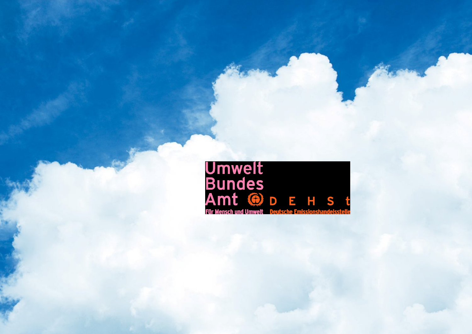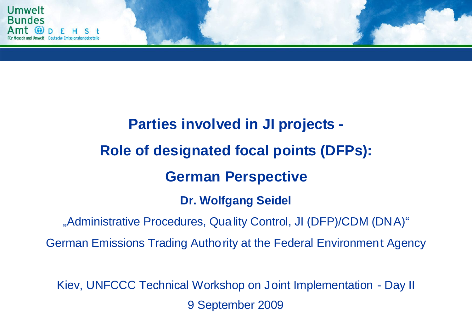

# **Parties involved in JI projects - Role of designated focal points (DFPs): German Perspective Dr. Wolfgang Seidel**

"Administrative Procedures, Quality Control, JI (DFP)/CDM (DNA)"

German Emissions Trading Authority at the Federal Environment Agency

Kiev, UNFCCC Technical Workshop on Joint Implementation - Day II 9 September 2009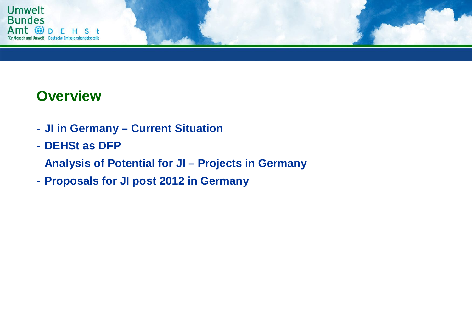

### **Overview**

- **JI in Germany – Current Situation**
- **DEHSt as DFP**
- **Analysis of Potential for JI – Projects in Germany**
- **Proposals for JI post 2012 in Germany**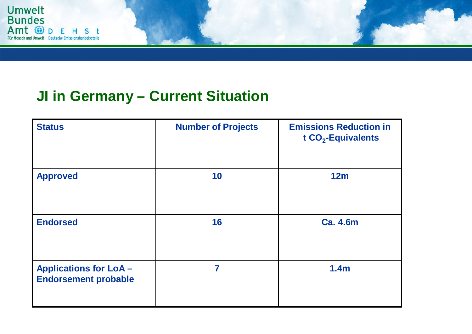

# **JI in Germany – Current Situation**

| <b>Status</b>                                               | <b>Number of Projects</b> | <b>Emissions Reduction in</b><br>t $CO2$ -Equivalents |
|-------------------------------------------------------------|---------------------------|-------------------------------------------------------|
| <b>Approved</b>                                             | 10                        | 12m                                                   |
| <b>Endorsed</b>                                             | 16                        | <b>Ca. 4.6m</b>                                       |
| <b>Applications for LoA-</b><br><b>Endorsement probable</b> | 7                         | 1.4 <sub>m</sub>                                      |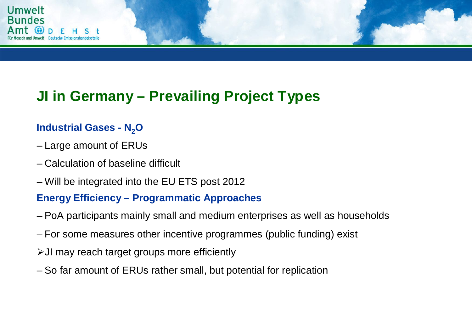

# **JI in Germany – Prevailing Project Types**

#### **Industrial Gases - N2O**

- Large amount of ERUs
- Calculation of baseline difficult
- Will be integrated into the EU ETS post 2012

#### **Energy Efficiency – Programmatic Approaches**

- PoA participants mainly small and medium enterprises as well as households
- For some measures other incentive programmes (public funding) exist
- JI may reach target groups more efficiently
- So far amount of ERUs rather small, but potential for replication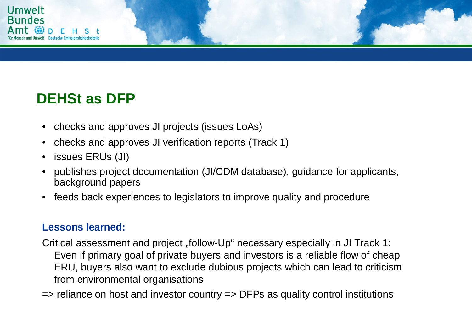

## **DEHSt as DFP**

- checks and approves JI projects (issues LoAs)
- checks and approves JI verification reports (Track 1)
- issues ERUs (JI)
- publishes project documentation (JI/CDM database), guidance for applicants, background papers
- feeds back experiences to legislators to improve quality and procedure

#### **Lessons learned:**

Critical assessment and project "follow-Up" necessary especially in JI Track 1: Even if primary goal of private buyers and investors is a reliable flow of cheap ERU, buyers also want to exclude dubious projects which can lead to criticism from environmental organisations

=> reliance on host and investor country => DFPs as quality control institutions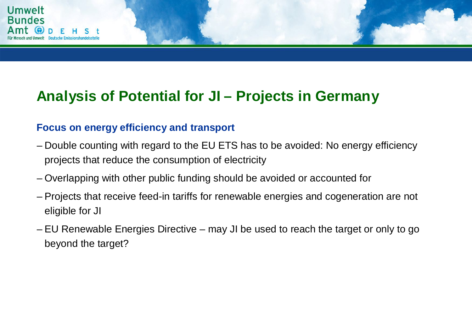

## **Analysis of Potential for JI – Projects in Germany**

#### **Focus on energy efficiency and transport**

- Double counting with regard to the EU ETS has to be avoided: No energy efficiency projects that reduce the consumption of electricity
- Overlapping with other public funding should be avoided or accounted for
- Projects that receive feed-in tariffs for renewable energies and cogeneration are not eligible for JI
- EU Renewable Energies Directive may JI be used to reach the target or only to go beyond the target?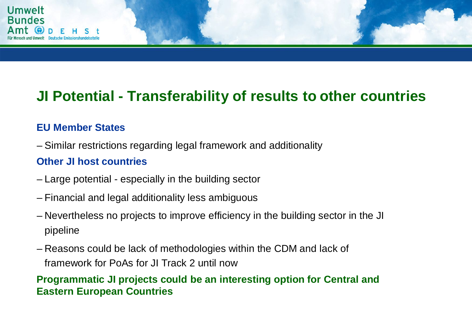

### **JI Potential - Transferability of results to other countries**

#### **EU Member States**

– Similar restrictions regarding legal framework and additionality

#### **Other JI host countries**

- Large potential especially in the building sector
- Financial and legal additionality less ambiguous
- Nevertheless no projects to improve efficiency in the building sector in the JI pipeline
- Reasons could be lack of methodologies within the CDM and lack of framework for PoAs for JI Track 2 until now

#### **Programmatic JI projects could be an interesting option for Central and Eastern European Countries**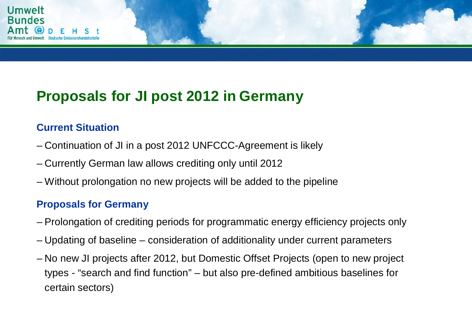

## **Proposals for JI post 2012 in Germany**

#### **Current Situation**

- Continuation of JI in a post 2012 UNFCCC-Agreement is likely
- Currently German law allows crediting only until 2012
- Without prolongation no new projects will be added to the pipeline

#### **Proposals for Germany**

- Prolongation of crediting periods for programmatic energy efficiency projects only
- Updating of baseline consideration of additionality under current parameters
- No new JI projects after 2012, but Domestic Offset Projects (open to new project types - "search and find function" – but also pre-defined ambitious baselines for certain sectors)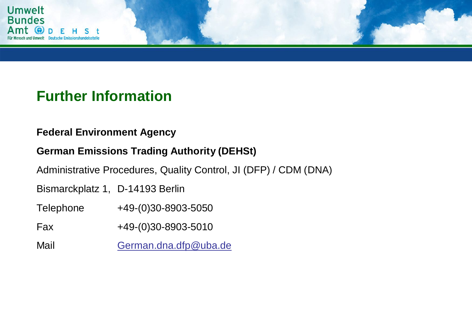

### **Further Information**

#### **Federal Environment Agency**

#### **German Emissions Trading Authority (DEHSt)**

Administrative Procedures, Quality Control, JI (DFP) / CDM (DNA)

Bismarckplatz 1, D-14193 Berlin

Telephone +49-(0)30-8903-5050

Fax +49-(0)30-8903-5010

Mail German.dna.dfp@uba.de